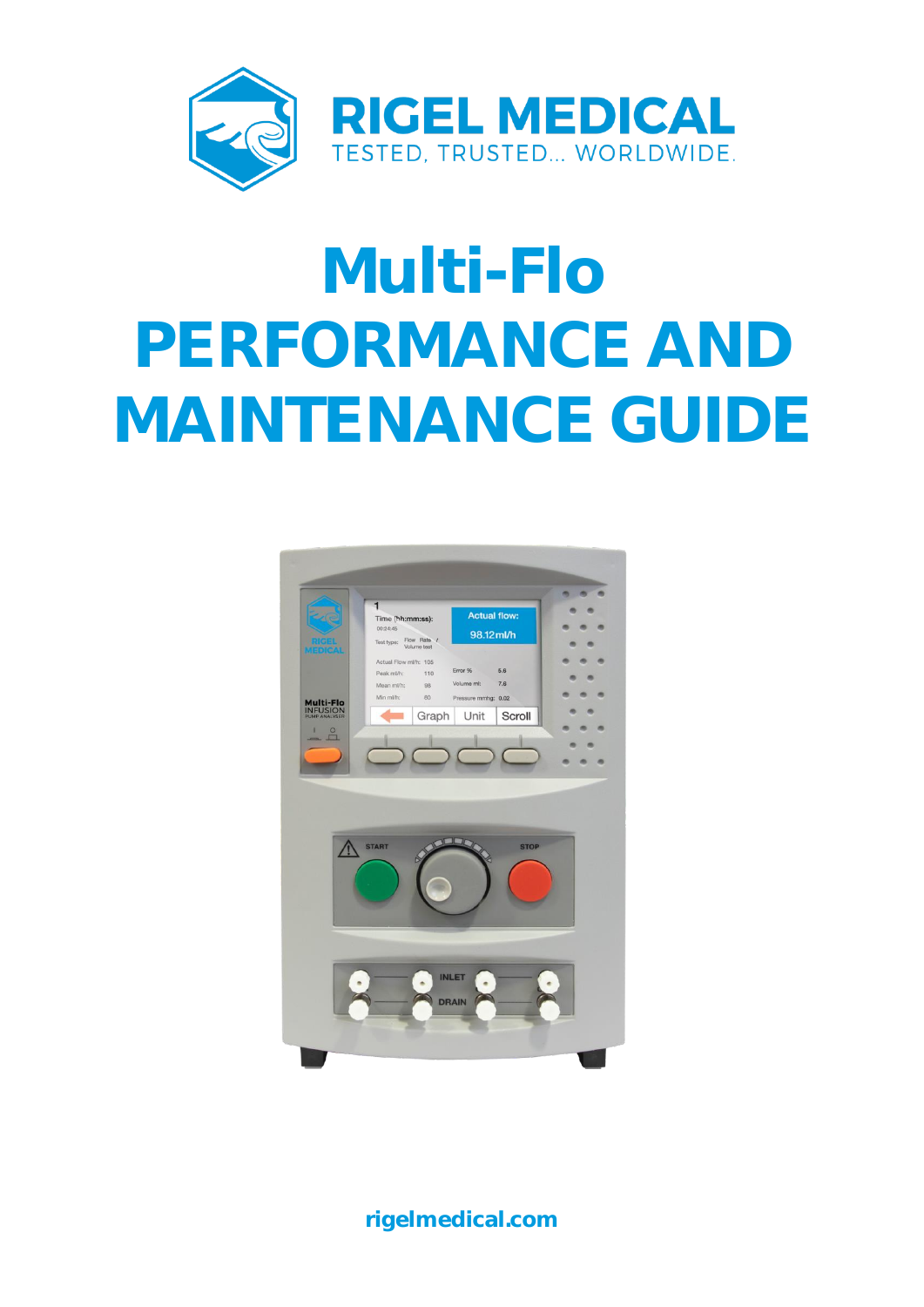

# **Multi-Flo PERFORMANCE AND MAINTENANCE GUIDE**



**rigelmedical.com**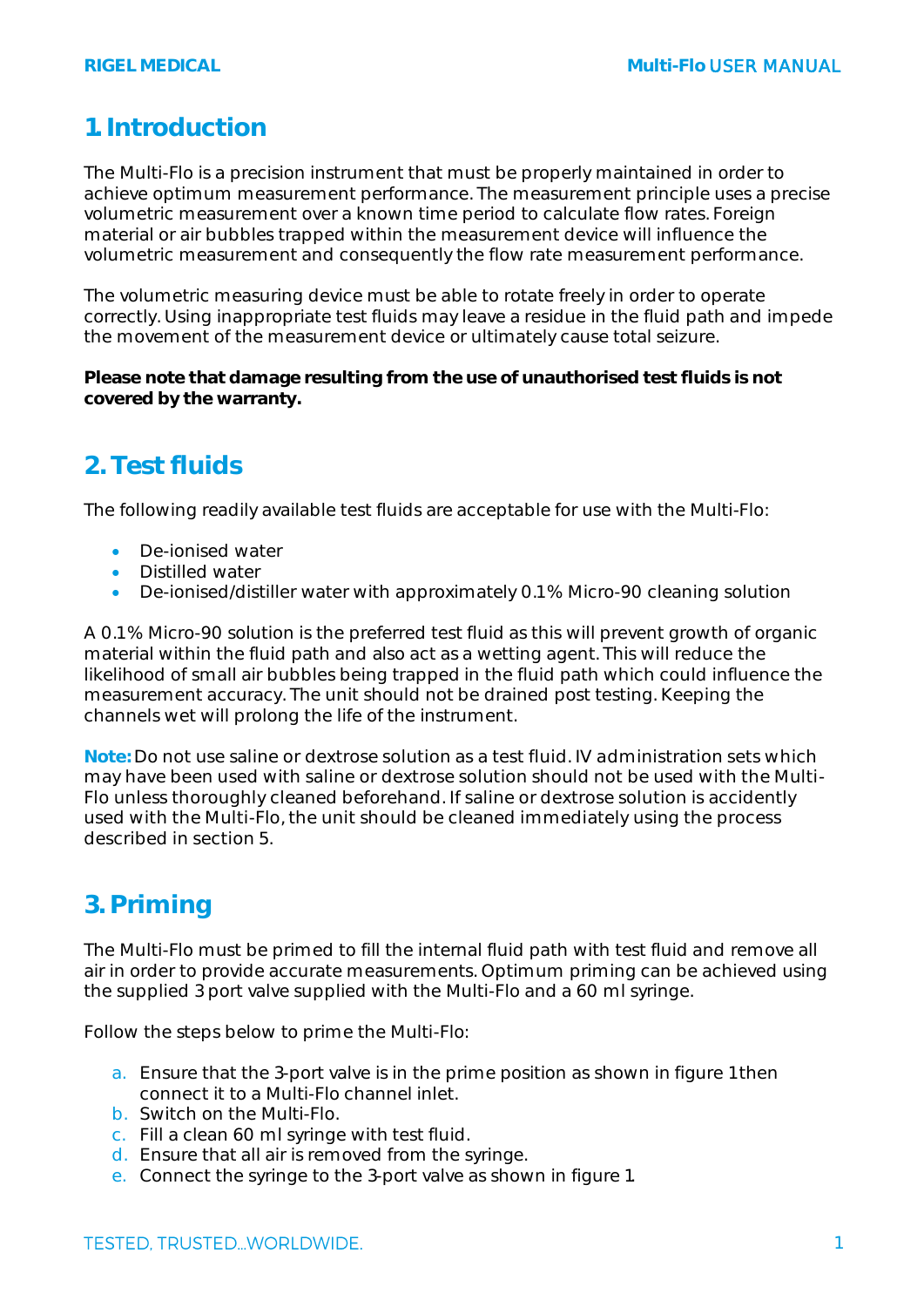#### **1. Introduction**

The Multi-Flo is a precision instrument that must be properly maintained in order to achieve optimum measurement performance. The measurement principle uses a precise volumetric measurement over a known time period to calculate flow rates. Foreign material or air bubbles trapped within the measurement device will influence the volumetric measurement and consequently the flow rate measurement performance.

The volumetric measuring device must be able to rotate freely in order to operate correctly. Using inappropriate test fluids may leave a residue in the fluid path and impede the movement of the measurement device or ultimately cause total seizure.

**Please note that damage resulting from the use of unauthorised test fluids is not covered by the warranty.**

## **2. Test fluids**

The following readily available test fluids are acceptable for use with the Multi-Flo:

- De-ionised water
- Distilled water
- De-ionised/distiller water with approximately 0.1 % Micro-90 cleaning solution

A 0.1 % Micro-90 solution is the preferred test fluid as this will prevent growth of organic material within the fluid path and also act as a wetting agent. This will reduce the likelihood of small air bubbles being trapped in the fluid path which could influence the measurement accuracy. The unit should not be drained post testing. Keeping the channels wet will prolong the life of the instrument.

**Note:** Do not use saline or dextrose solution as a test fluid. IV administration sets which may have been used with saline or dextrose solution should not be used with the Multi-Flo unless thoroughly cleaned beforehand. If saline or dextrose solution is accidently used with the Multi-Flo, the unit should be cleaned immediately using the process described in section 5.

## **3. Priming**

The Multi-Flo must be primed to fill the internal fluid path with test fluid and remove all air in order to provide accurate measurements. Optimum priming can be achieved using the supplied 3 port valve supplied with the Multi-Flo and a 60 ml syringe.

Follow the steps below to prime the Multi-Flo:

- a. Ensure that the 3-port valve is in the prime position as shown in figure 1 then connect it to a Multi-Flo channel inlet.
- b. Switch on the Multi-Flo.
- c. Fill a clean 60 ml syringe with test fluid.
- d. Ensure that all air is removed from the syringe.
- e. Connect the syringe to the 3-port valve as shown in figure 1.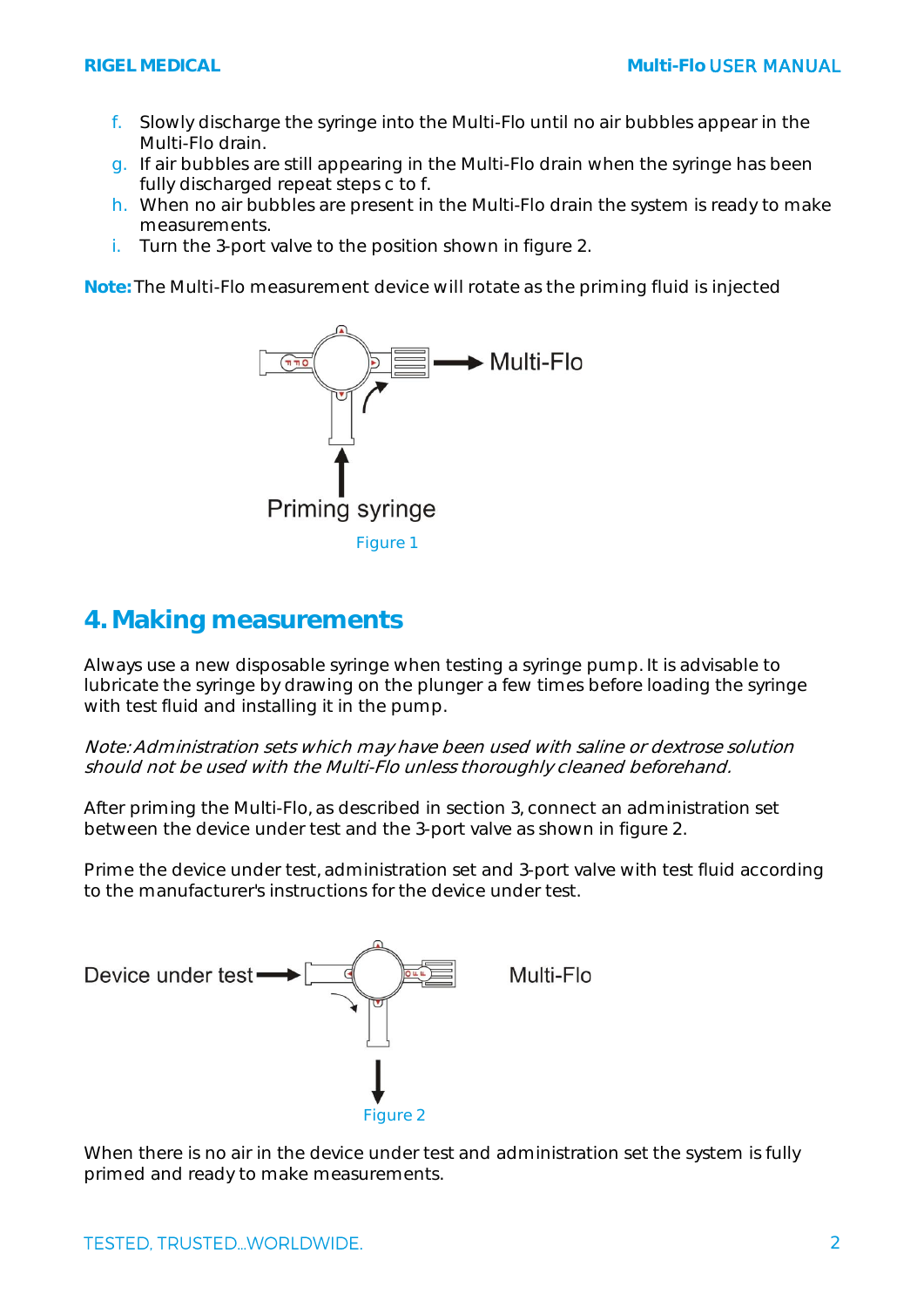- f. Slowly discharge the syringe into the Multi-Flo until no air bubbles appear in the Multi-Flo drain.
- g. If air bubbles are still appearing in the Multi-Flo drain when the syringe has been fully discharged repeat steps c to f.
- h. When no air bubbles are present in the Multi-Flo drain the system is ready to make measurements.
- i. Turn the 3-port valve to the position shown in figure 2.

**Note:** The Multi-Flo measurement device will rotate as the priming fluid is injected



#### **4. Making measurements**

Always use a new disposable syringe when testing a syringe pump. It is advisable to lubricate the syringe by drawing on the plunger a few times before loading the syringe with test fluid and installing it in the pump.

Note: Administration sets which may have been used with saline or dextrose solution should not be used with the Multi-Flo unless thoroughly cleaned beforehand.

After priming the Multi-Flo, as described in section 3, connect an administration set between the device under test and the 3-port valve as shown in figure 2.

Prime the device under test, administration set and 3-port valve with test fluid according to the manufacturer's instructions for the device under test.



When there is no air in the device under test and administration set the system is fully primed and ready to make measurements.